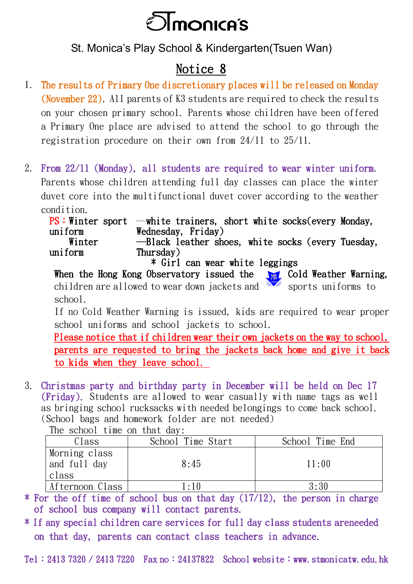

St. Monica's Play School & Kindergarten(Tsuen Wan)

## Notice 8

- 1. The results of Primary One discretionary places will be released on Monday (November 22). All parents of K3 students are required to check the results on your chosen primary school. Parents whose children have been offered a Primary One place are advised to attend the school to go through the registration procedure on their own from 24/11 to 25/11.
- 2. From 22/11 (Monday), all students are required to wear winter uniform. Parents whose children attending full day classes can place the winter duvet core into the multifunctional duvet cover according to the weather condition.

|         | $PS:$ Winter sport —white trainers, short white socks (every Monday, |  |
|---------|----------------------------------------------------------------------|--|
| uniform | Wednesday, Friday)                                                   |  |
| Winter  | -Black leather shoes, white socks (every Tuesday,                    |  |
| uniform | Thursday)                                                            |  |
|         | * Girl can wear white leggings                                       |  |

When the Hong Kong Observatory issued the  $\sqrt{2}$  Cold Weather Warning, children are allowed to wear down jackets and sports uniforms to school.

If no Cold Weather Warning is issued, kids are required to wear proper school uniforms and school jackets to school.

Please notice that if children wear their own jackets on the way to school, parents are requested to bring the jackets back home and give it back to kids when they leave school.

3. Christmas party and birthday party in December will be held on Dec 17 (Friday). Students are allowed to wear casually with name tags as well as bringing school rucksacks with needed belongings to come back school. (School bags and homework folder are not needed)

| THE SCHOOT TIME ON THEIR GET.          |                   |                 |
|----------------------------------------|-------------------|-----------------|
| Class                                  | School Time Start | School Time End |
| Morning class<br>and full day<br>class | 8:45              | 11:00           |
| Afternoon Class                        | $\cdot$ 10        | 3:30            |

The school time on that  $daw$ .

\* For the off time of school bus on that day (17/12), the person in charge of school bus company will contact parents.

\* If any special children care services for full day class students areneeded on that day, parents can contact class teachers in advance.

Tel: 2413 7320 / 2413 7220 Fax no: 24137822 School website: www.stmonicatw.edu.hk